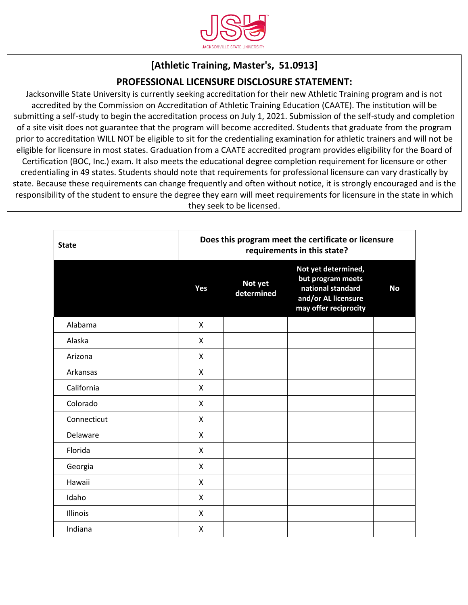

## **[Athletic Training, Master's, 51.0913]**

## **PROFESSIONAL LICENSURE DISCLOSURE STATEMENT:**

Jacksonville State University is currently seeking accreditation for their new Athletic Training program and is not accredited by the Commission on Accreditation of Athletic Training Education (CAATE). The institution will be submitting a self-study to begin the accreditation process on July 1, 2021. Submission of the self-study and completion of a site visit does not guarantee that the program will become accredited. Students that graduate from the program prior to accreditation WILL NOT be eligible to sit for the credentialing examination for athletic trainers and will not be eligible for licensure in most states. Graduation from a CAATE accredited program provides eligibility for the Board of Certification (BOC, Inc.) exam. It also meets the educational degree completion requirement for licensure or other credentialing in 49 states. Students should note that requirements for professional licensure can vary drastically by state. Because these requirements can change frequently and often without notice, it is strongly encouraged and is the responsibility of the student to ensure the degree they earn will meet requirements for licensure in the state in which they seek to be licensed.

| <b>State</b> | Does this program meet the certificate or licensure<br>requirements in this state? |                       |                                                                                                               |           |  |
|--------------|------------------------------------------------------------------------------------|-----------------------|---------------------------------------------------------------------------------------------------------------|-----------|--|
|              | Yes                                                                                | Not yet<br>determined | Not yet determined,<br>but program meets<br>national standard<br>and/or AL licensure<br>may offer reciprocity | <b>No</b> |  |
| Alabama      | X                                                                                  |                       |                                                                                                               |           |  |
| Alaska       | X                                                                                  |                       |                                                                                                               |           |  |
| Arizona      | X                                                                                  |                       |                                                                                                               |           |  |
| Arkansas     | X                                                                                  |                       |                                                                                                               |           |  |
| California   | X                                                                                  |                       |                                                                                                               |           |  |
| Colorado     | X                                                                                  |                       |                                                                                                               |           |  |
| Connecticut  | $\mathsf{x}$                                                                       |                       |                                                                                                               |           |  |
| Delaware     | X                                                                                  |                       |                                                                                                               |           |  |
| Florida      | X                                                                                  |                       |                                                                                                               |           |  |
| Georgia      | X                                                                                  |                       |                                                                                                               |           |  |
| Hawaii       | X                                                                                  |                       |                                                                                                               |           |  |
| Idaho        | $\mathsf{x}$                                                                       |                       |                                                                                                               |           |  |
| Illinois     | X                                                                                  |                       |                                                                                                               |           |  |
| Indiana      | X                                                                                  |                       |                                                                                                               |           |  |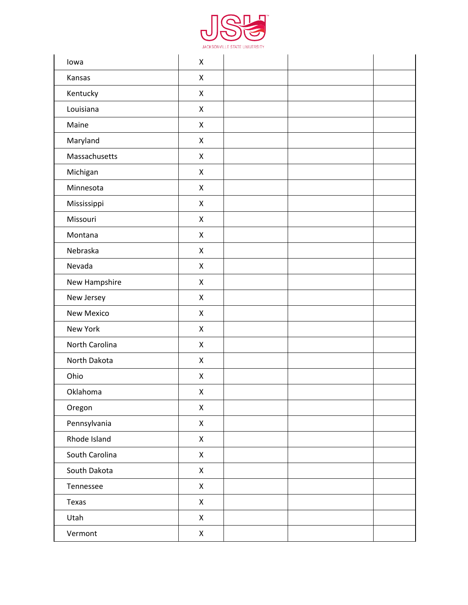

| lowa           | $\pmb{\mathsf{X}}$ |  |
|----------------|--------------------|--|
| Kansas         | $\pmb{\mathsf{X}}$ |  |
| Kentucky       | $\mathsf X$        |  |
| Louisiana      | $\pmb{\times}$     |  |
| Maine          | $\mathsf X$        |  |
| Maryland       | $\mathsf{X}$       |  |
| Massachusetts  | $\pmb{\times}$     |  |
| Michigan       | $\mathsf X$        |  |
| Minnesota      | $\pmb{\times}$     |  |
| Mississippi    | $\mathsf X$        |  |
| Missouri       | $\pmb{\times}$     |  |
| Montana        | $\pmb{\mathsf{X}}$ |  |
| Nebraska       | $\pmb{\times}$     |  |
| Nevada         | $\pmb{\times}$     |  |
| New Hampshire  | $\mathsf X$        |  |
| New Jersey     | $\pmb{\times}$     |  |
| New Mexico     | $\mathsf X$        |  |
| New York       | $\pmb{\times}$     |  |
| North Carolina | $\mathsf X$        |  |
| North Dakota   | $\pmb{\times}$     |  |
| Ohio           | X                  |  |
| Oklahoma       | $\mathsf X$        |  |
| Oregon         | $\pmb{\times}$     |  |
| Pennsylvania   | $\mathsf X$        |  |
| Rhode Island   | $\pmb{\times}$     |  |
| South Carolina | $\mathsf X$        |  |
| South Dakota   | $\pmb{\times}$     |  |
| Tennessee      | X                  |  |
| Texas          | $\mathsf X$        |  |
| Utah           | $\pmb{\mathsf{X}}$ |  |
| Vermont        | $\pmb{\mathsf{X}}$ |  |